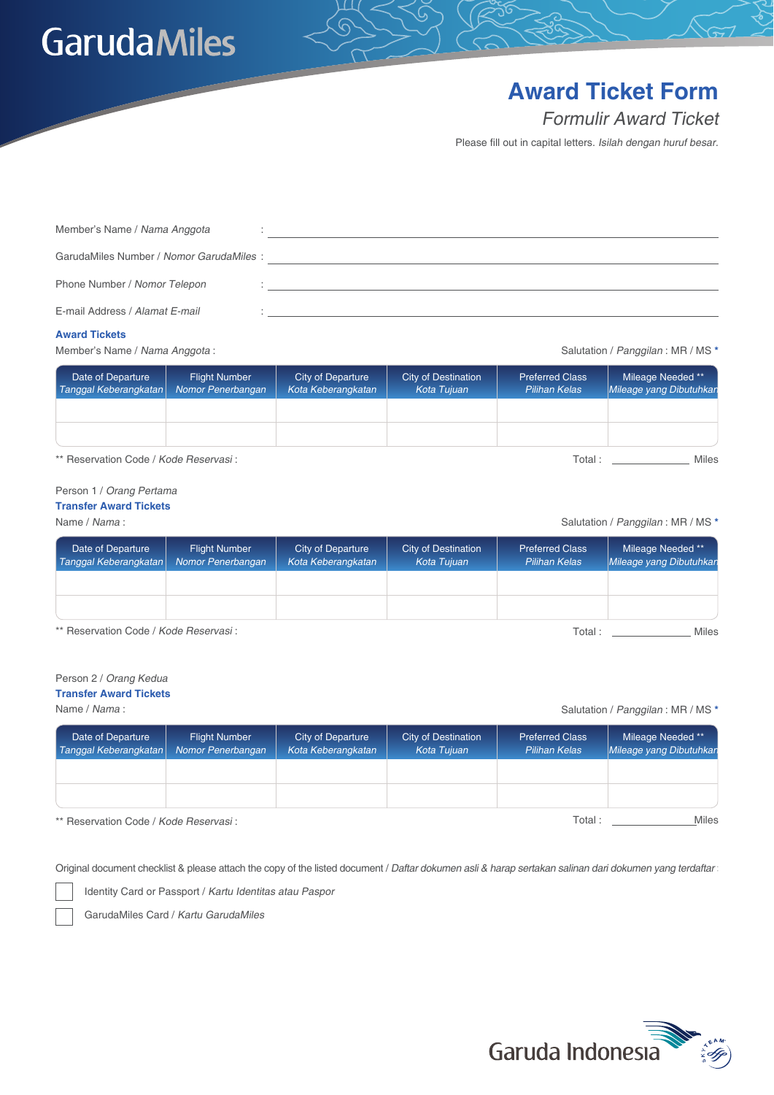## **GarudaMiles**

### **Award Ticket Form**

Formulir Award Ticket

Please fill out in capital letters. Isilah dengan huruf besar.

| Member's Name / Nama Anggota            |  |
|-----------------------------------------|--|
| GarudaMiles Number / Nomor GarudaMiles: |  |
| Phone Number / Nomor Telepon            |  |
| E-mail Address / Alamat E-mail          |  |

#### **Award Tickets**

Member's Name / Nama Anggota :

Salutation / Panggilan : MR / MS **\***

| Date of Departure<br>Tanggal Keberangkatan | <b>Flight Number</b><br>Nomor Penerbangan | City of Departure<br>Kota Keberangkatan | City of Destination<br>Kota Tujuan | <b>Preferred Class</b><br><b>Pilihan Kelas</b> | Mileage Needed **<br>Mileage yang Dibutuhkan |
|--------------------------------------------|-------------------------------------------|-----------------------------------------|------------------------------------|------------------------------------------------|----------------------------------------------|
|                                            |                                           |                                         |                                    |                                                |                                              |
|                                            |                                           |                                         |                                    |                                                |                                              |

\*\* Reservation Code / Kode Reservasi :

#### Person 1 / Orang Pertama **Transfer Award Tickets**

Name / Nama :

#### Salutation / Panggilan : MR / MS **\***

Total : \_\_\_\_\_\_\_\_\_\_\_\_\_\_\_\_\_\_ Miles

| Date of Departure<br>Tanggal Keberangkatan | <b>Flight Number</b><br>Nomor Penerbangan | City of Departure<br>Kota Keberangkatan | City of Destination<br>Kota Tuiuan | <b>Preferred Class</b><br><b>Pilihan Kelas</b> | Mileage Needed **<br>Mileage yang Dibutuhkan |
|--------------------------------------------|-------------------------------------------|-----------------------------------------|------------------------------------|------------------------------------------------|----------------------------------------------|
|                                            |                                           |                                         |                                    |                                                |                                              |
|                                            |                                           |                                         |                                    |                                                |                                              |
| ** Reservation Code / Kode Reservasi:      |                                           |                                         |                                    | Total :                                        | Miles                                        |

#### Person 2 / Orang Kedua

#### **Transfer Award Tickets**

Salutation / Panggilan : MR / MS **\*** Name / Nama :

| Date of Departure<br>Tanggal Keberangkatan | <b>Flight Number</b><br>Nomor Penerbangan | City of Departure<br>Kota Keberangkatan | City of Destination<br>Kota Tujuan | <b>Preferred Class</b><br><b>Pilihan Kelas</b> | Mileage Needed **<br>Mileage yang Dibutuhkan |
|--------------------------------------------|-------------------------------------------|-----------------------------------------|------------------------------------|------------------------------------------------|----------------------------------------------|
|                                            |                                           |                                         |                                    |                                                |                                              |
|                                            |                                           |                                         |                                    |                                                |                                              |
| ** Reservation Code / Kode Reservasi:      |                                           |                                         |                                    | Total :                                        | Miles                                        |

\*\* Reservation Code / Kode Reservasi :

Original document checklist & please attach the copy of the listed document / Daftar dokumen asli & harap sertakan salinan dari dokumen yang terdaftar :

Identity Card or Passport / Kartu Identitas atau Paspor

GarudaMiles Card / Kartu GarudaMiles